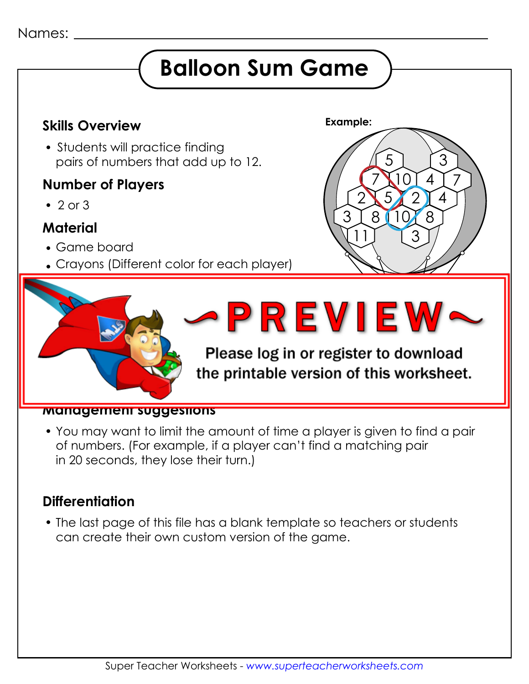#### Names:

## **Balloon Sum Game**

## **Example: Skills Overview**

• Students will practice findina pairs of numbers that add up to 12.

### **Number of Players**

 $\cdot$  2 or 3

## **Material**

Game board

**How to play**

Crayons (Different color for each player)

adjacent sum of 12. Adjacent sum of 12. Adjacent sum of 12. Adjacent sum of 12. Adjacent sum of 12. Adjacent s

Each player choose a different color color chooses a different color color color color cray color cray color

Players take turns finding and coloring pairs of



#### $P$  example, player 1 may color two joining shapes that  $P$  is the player of  $P$  may consider the player of  $P$ the printable version of this worksheet. joining shapes with the numbers 10 and 2.)

#### **Management suggestions**

 You may want to limit the amount of time a player is given to find a pair of numbers. (For example, if a player can't find a matching pair in 20 seconds, they lose their turn.)

### **Differentiation**

 The last page of this file has a blank template so teachers or students can create their own custom version of the game.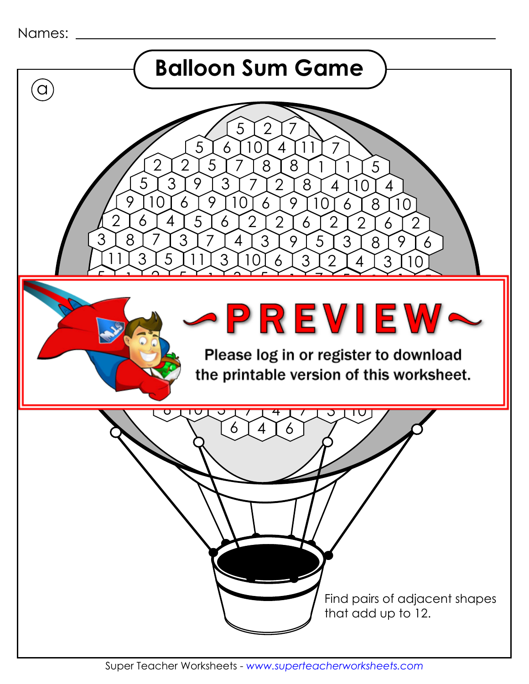```
Names:
```
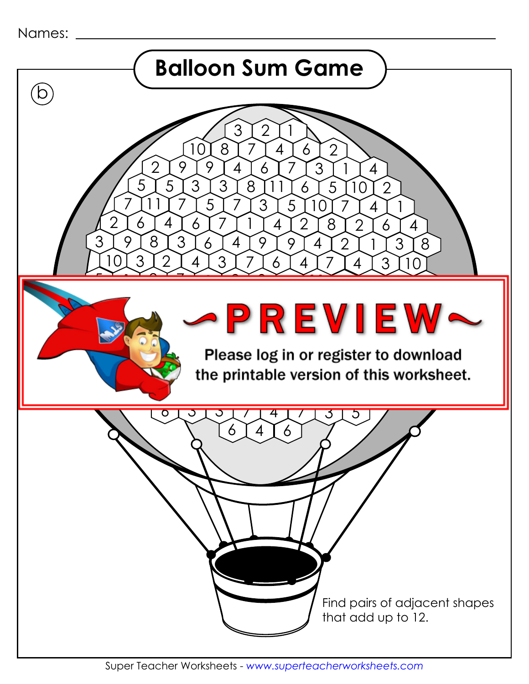```
Names:
```
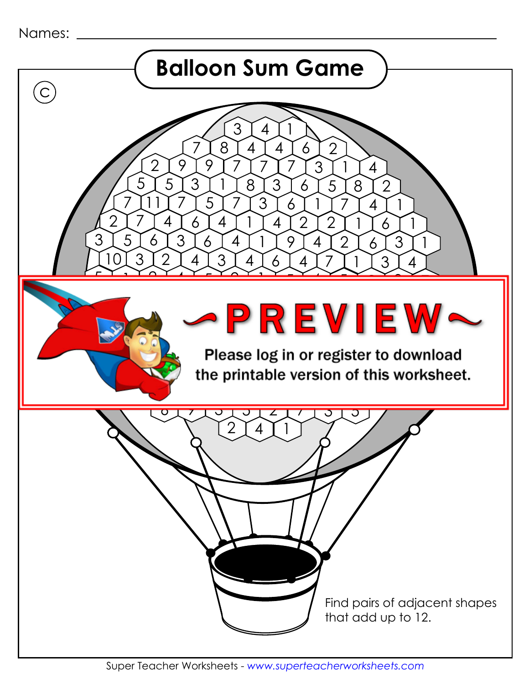Names:

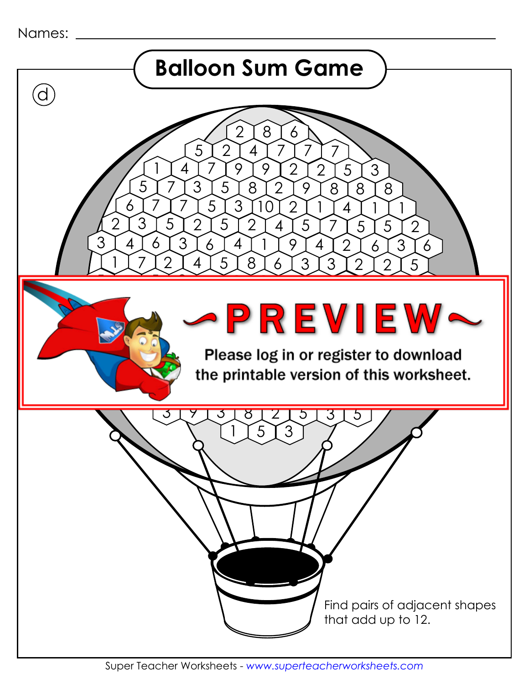```
Names:
```
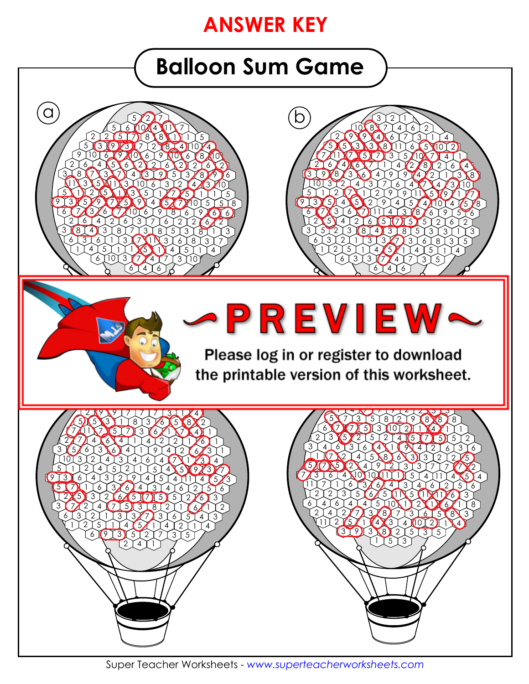## **ANSWER KEY**

# **Balloon Sum Game**





5<sup>13</sup> 

  $4\sqrt{5}$ 

 3丄7

<u>3</u> **1**7

 $10 8 8$ 

 $6 \times 3 \times 3 \times 7 \times 4 \times 7$ 

<u>6</u> 5

 

 3丄3

 

7 J 1

2

  $\mathbf{A}$ 

2 9 9 4 6 7 7 3 1 1 4

 

  $4 \times 7$ 

 3人6

  $4\sqrt{10}$ 

 

 3 丿 5

 $\sqrt{5}$ 

 

8

 

  $3\sqrt{2}$ 

> 3人2

 $\sqrt{4}$ 

 

4

Please log in or register to download and the contract of the contract of the contract of the contract of the contract of the contract of the contract of the contract of the contract of the contract of the contract of the contract of the contract of the contra

4



 

 3人5

 

6 J 2

 

4

Super Teacher Worksheets - *www.superteacherworksheets.com*